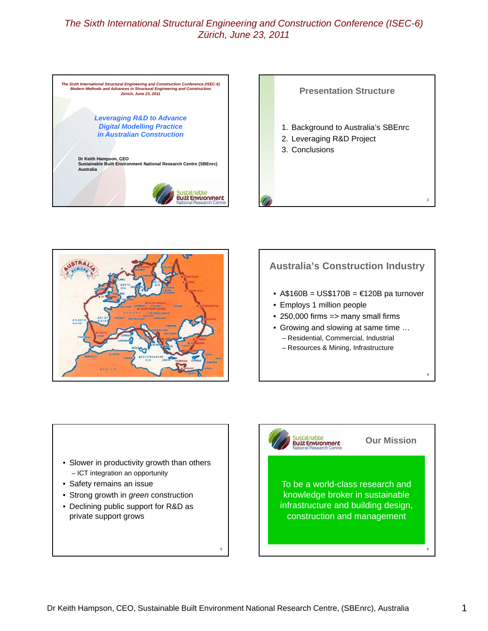





# **Australia's Construction Industry**

- A\$160B = US\$170B =  $€120B$  pa turnover
- Employs 1 million people

Sustainable<br>Built Environment

- $\cdot$  250,000 firms => many small firms
- Growing and slowing at same time … – Residential, Commercial, Industrial
	- Resources & Mining, Infrastructure

- Slower in productivity growth than others – ICT integration an opportunity
- Safety remains an issue
- Strong growth in *green* construction
- Declining public support for R&D as private support grows

**<sup>V</sup>** To be a world-class research and knowledge broker in sustainable infrastructure and building design,

construction and management

5

4

6

**Our Mission**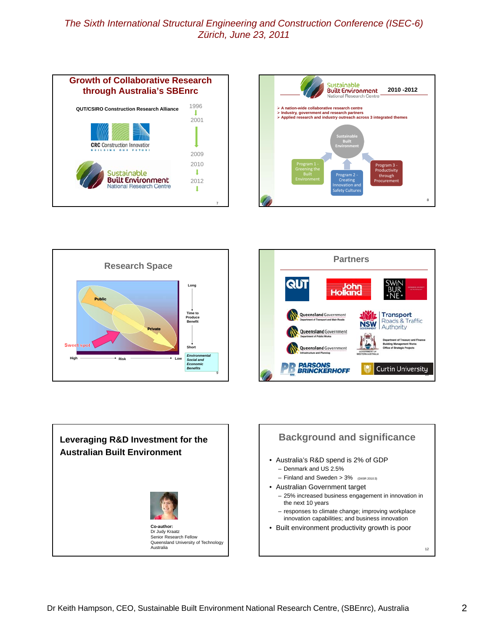









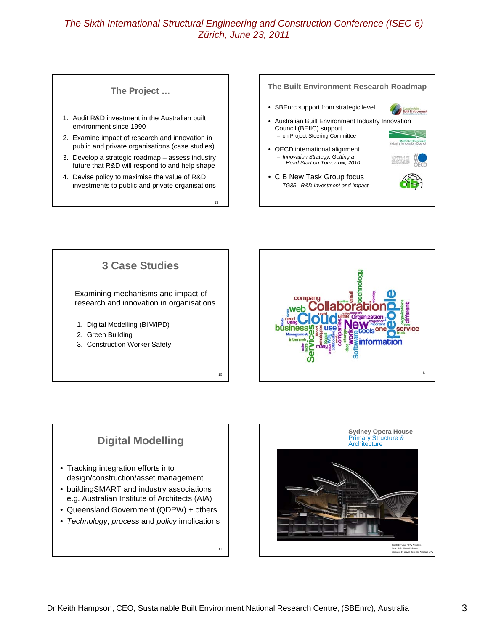13

#### **The Project …**

- 1. Audit R&D investment in the Australian built environment since 1990
- 2. Examine impact of research and innovation in public and private organisations (case studies)
- 3. Develop a strategic roadmap assess industry future that R&D will respond to and help shape
- 4. Devise policy to maximise the value of R&D investments to public and private organisations







## **Digital Modelling**

- Tracking integration efforts into design/construction/asset management
- buildingSMART and industry associations e.g. Australian Institute of Architects (AIA)
- Queensland Government (QDPW) + others
- *Technology*, *process* and *policy* implications



17